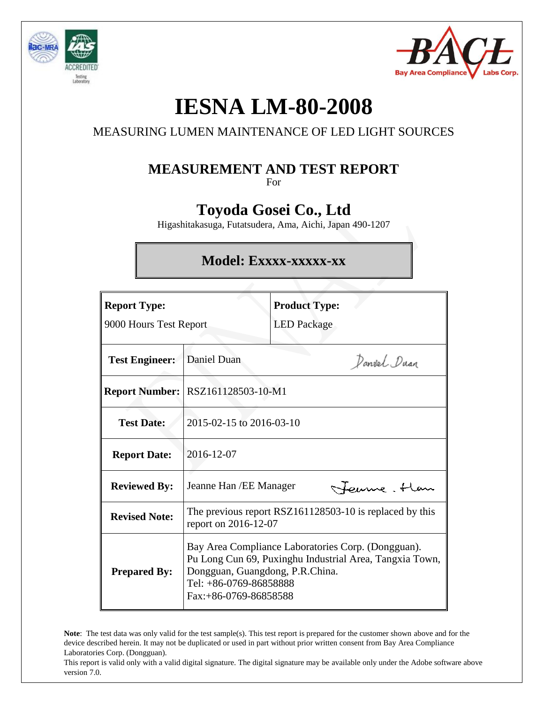



# **IESNA LM-80-2008**

## MEASURING LUMEN MAINTENANCE OF LED LIGHT SOURCES

## **MEASUREMENT AND TEST REPORT**

For

## **Toyoda Gosei Co., Ltd**

Higashitakasuga, Futatsudera, Ama, Aichi, Japan 490-1207

## **Model: Exxxx-xxxxx-xx**

| <b>Report Type:</b><br>9000 Hours Test Report |                                                                                                                                                                                                        | <b>Product Type:</b><br><b>LED</b> Package |             |  |  |
|-----------------------------------------------|--------------------------------------------------------------------------------------------------------------------------------------------------------------------------------------------------------|--------------------------------------------|-------------|--|--|
| <b>Test Engineer:</b>                         | Daniel Duan                                                                                                                                                                                            |                                            | Danvel Duan |  |  |
|                                               | <b>Report Number:   RSZ161128503-10-M1</b>                                                                                                                                                             |                                            |             |  |  |
| <b>Test Date:</b>                             | 2015-02-15 to 2016-03-10                                                                                                                                                                               |                                            |             |  |  |
| <b>Report Date:</b>                           | 2016-12-07                                                                                                                                                                                             |                                            |             |  |  |
| <b>Reviewed By:</b>                           | Feume. Han<br>Jeanne Han / EE Manager                                                                                                                                                                  |                                            |             |  |  |
| <b>Revised Note:</b>                          | The previous report RSZ161128503-10 is replaced by this<br>report on 2016-12-07                                                                                                                        |                                            |             |  |  |
| <b>Prepared By:</b>                           | Bay Area Compliance Laboratories Corp. (Dongguan).<br>Pu Long Cun 69, Puxinghu Industrial Area, Tangxia Town,<br>Dongguan, Guangdong, P.R.China.<br>Tel: +86-0769-86858888<br>$Fax: +86-0769-86858588$ |                                            |             |  |  |

**Note**: The test data was only valid for the test sample(s). This test report is prepared for the customer shown above and for the device described herein. It may not be duplicated or used in part without prior written consent from Bay Area Compliance Laboratories Corp. (Dongguan).

This report is valid only with a valid digital signature. The digital signature may be available only under the Adobe software above version 7.0.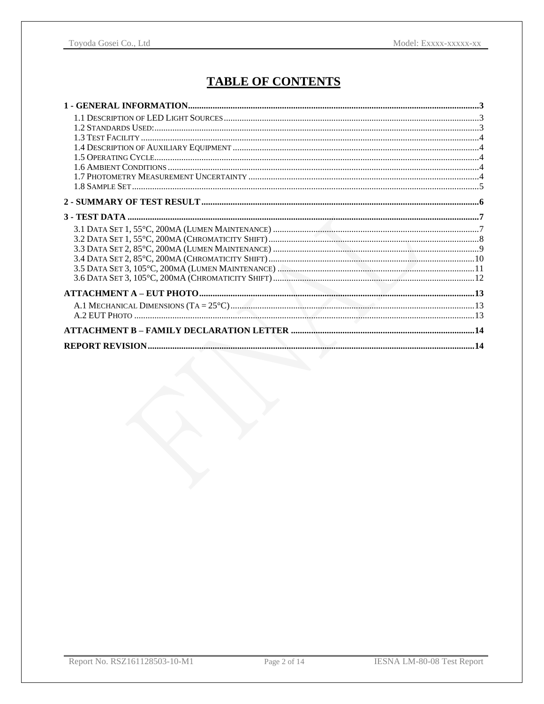## **TABLE OF CONTENTS**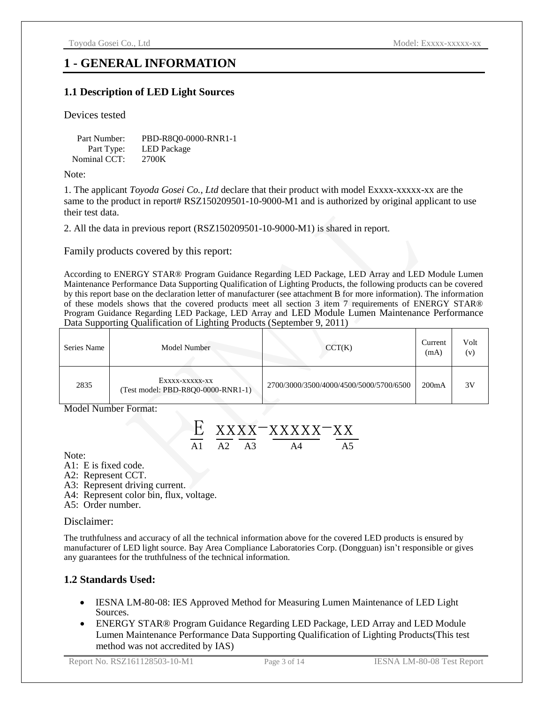#### **1 - GENERAL INFORMATION**

#### **1.1 Description of LED Light Sources**

#### Devices tested

| Part Number: | PBD-R800-0000-RNR1-1 |
|--------------|----------------------|
| Part Type:   | <b>LED</b> Package   |
| Nominal CCT: | 2700K                |

Note:

1. The applicant *Toyoda Gosei Co., Ltd* declare that their product with model Exxxx-xxxxx-xx are the same to the product in report# RSZ150209501-10-9000-M1 and is authorized by original applicant to use their test data.

2. All the data in previous report (RSZ150209501-10-9000-M1) is shared in report.

Family products covered by this report:

According to ENERGY STAR® Program Guidance Regarding LED Package, LED Array and LED Module Lumen Maintenance Performance Data Supporting Qualification of Lighting Products, the following products can be covered by this report base on the declaration letter of manufacturer (see attachment B for more information). The information of these models shows that the covered products meet all section 3 item 7 requirements of ENERGY STAR® Program Guidance Regarding LED Package, LED Array and LED Module Lumen Maintenance Performance Data Supporting Qualification of Lighting Products (September 9, 2011)

| Series Name | Model Number                                         | CCT(K)                                  | Current<br>(mA)    | Volt<br>(v) |
|-------------|------------------------------------------------------|-----------------------------------------|--------------------|-------------|
| 2835        | Exxxx-xxxxx-xx<br>(Test model: PBD-R8Q0-0000-RNR1-1) | 2700/3000/3500/4000/4500/5000/5700/6500 | 200 <sub>m</sub> A | 3V          |

Model Number Format:



Note:

- A1: E is fixed code.
- A2: Represent CCT.
- A3: Represent driving current.
- A4: Represent color bin, flux, voltage.
- A5: Order number.

#### Disclaimer:

The truthfulness and accuracy of all the technical information above for the covered LED products is ensured by manufacturer of LED light source. Bay Area Compliance Laboratories Corp. (Dongguan) isn't responsible or gives any guarantees for the truthfulness of the technical information.

#### **1.2 Standards Used:**

- IESNA LM-80-08: IES Approved Method for Measuring Lumen Maintenance of LED Light Sources.
- ENERGY STAR® Program Guidance Regarding LED Package, LED Array and LED Module Lumen Maintenance Performance Data Supporting Qualification of Lighting Products(This test method was not accredited by IAS)

Report No. RSZ161128503-10-M1 Page 3 of 14 IESNA LM-80-08 Test Report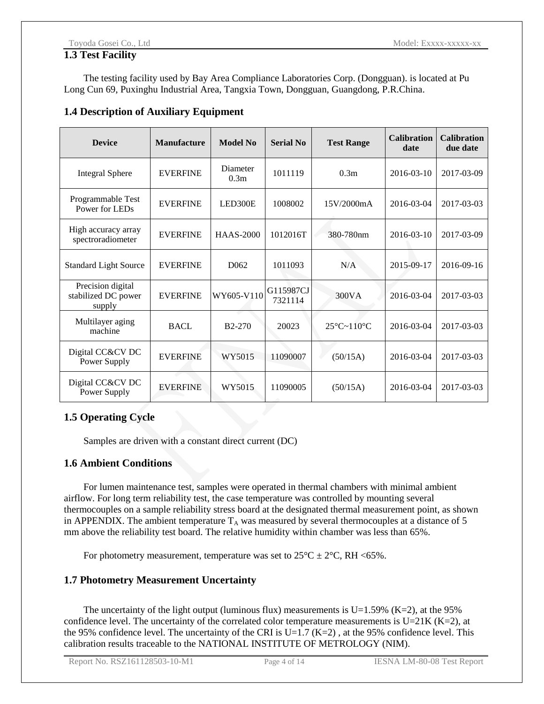#### **1.3 Test Facility**

The testing facility used by Bay Area Compliance Laboratories Corp. (Dongguan). is located at Pu Long Cun 69, Puxinghu Industrial Area, Tangxia Town, Dongguan, Guangdong, P.R.China.

#### **1.4 Description of Auxiliary Equipment**

| <b>Device</b>                                      | <b>Manufacture</b>            | <b>Model No</b>              | <b>Serial No</b>     | <b>Test Range</b>      | <b>Calibration</b><br>date | <b>Calibration</b><br>due date |
|----------------------------------------------------|-------------------------------|------------------------------|----------------------|------------------------|----------------------------|--------------------------------|
| <b>Integral Sphere</b>                             | <b>EVERFINE</b>               | Diameter<br>0.3 <sub>m</sub> | 1011119              | 0.3 <sub>m</sub>       | $2016 - 03 - 10$           | 2017-03-09                     |
| Programmable Test<br>Power for LEDs                | <b>EVERFINE</b>               | LED300E                      | 1008002              | 15V/2000mA             | 2016-03-04                 | 2017-03-03                     |
| High accuracy array<br>spectroradiometer           | <b>EVERFINE</b>               | <b>HAAS-2000</b>             | 1012016T             | 380-780nm              | 2016-03-10                 | 2017-03-09                     |
| <b>Standard Light Source</b>                       | <b>EVERFINE</b>               | D <sub>062</sub>             | 1011093              | N/A                    | 2015-09-17                 | 2016-09-16                     |
| Precision digital<br>stabilized DC power<br>supply | WY605-V110<br><b>EVERFINE</b> |                              | G115987CJ<br>7321114 | 300VA                  | 2016-03-04                 | 2017-03-03                     |
| Multilayer aging<br>machine                        | <b>BACL</b>                   | <b>B2-270</b>                | 20023                | $25 \text{ C}$ ~110 °C | 2016-03-04                 | 2017-03-03                     |
| Digital CC&CV DC<br>Power Supply                   | <b>EVERFINE</b>               | WY5015                       | 11090007             | (50/15A)               | 2016-03-04                 | 2017-03-03                     |
| Digital CC&CV DC<br>Power Supply                   | <b>EVERFINE</b>               | WY5015                       | 11090005             | (50/15A)               | 2016-03-04                 | 2017-03-03                     |

#### **1.5 Operating Cycle**

Samples are driven with a constant direct current (DC)

#### **1.6 Ambient Conditions**

For lumen maintenance test, samples were operated in thermal chambers with minimal ambient airflow. For long term reliability test, the case temperature was controlled by mounting several thermocouples on a sample reliability stress board at the designated thermal measurement point, as shown in APPENDIX. The ambient temperature  $T_A$  was measured by several thermocouples at a distance of 5 mm above the reliability test board. The relative humidity within chamber was less than 65%.

For photometry measurement, temperature was set to  $25 \text{ C} \pm 2 \text{ C}$ , RH <65%.

#### **1.7 Photometry Measurement Uncertainty**

The uncertainty of the light output (luminous flux) measurements is  $U=1.59\%$  (K=2), at the 95% confidence level. The uncertainty of the correlated color temperature measurements is  $U=21K (K=2)$ , at the 95% confidence level. The uncertainty of the CRI is U=1.7 (K=2), at the 95% confidence level. This calibration results traceable to the NATIONAL INSTITUTE OF METROLOGY (NIM).

Report No. RSZ161128503-10-M1 Page 4 of 14 IESNA LM-80-08 Test Report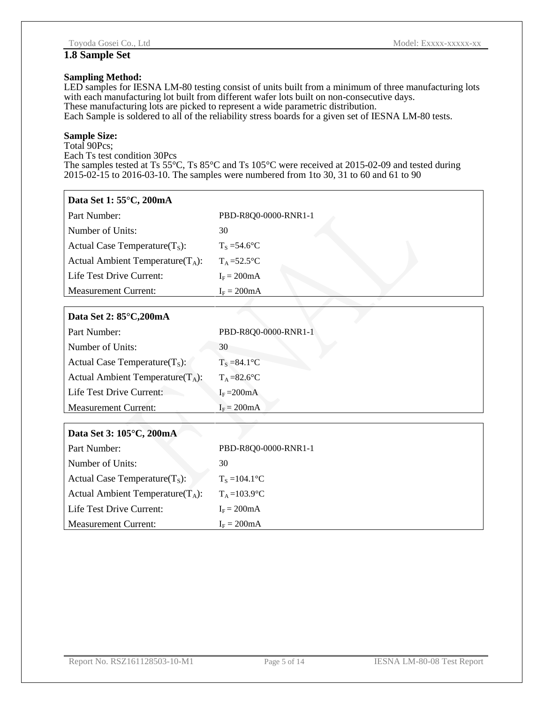#### **1.8 Sample Set**

#### **Sampling Method:**

LED samples for IESNA LM-80 testing consist of units built from a minimum of three manufacturing lots with each manufacturing lot built from different wafer lots built on non-consecutive days. These manufacturing lots are picked to represent a wide parametric distribution. Each Sample is soldered to all of the reliability stress boards for a given set of IESNA LM-80 tests.

#### **Sample Size:**

Total 90Pcs; Each Ts test condition 30Pcs The samples tested at Ts 55 °C, Ts 85 °C and Ts 105 °C were received at 2015-02-09 and tested during 2015-02-15 to 2016-03-10. The samples were numbered from 1to 30, 31 to 60 and 61 to 90

#### **Data Set 1: 55°C, 200mA**

| Part Number:                         | PBD-R8Q0-0000-RNR1-1   |
|--------------------------------------|------------------------|
| Number of Units:                     | 30                     |
| Actual Case Temperature $(T_s)$ :    | $T_s = 54.6 \text{ C}$ |
| Actual Ambient Temperature( $T_A$ ): | $T_A = 52.5 \text{ C}$ |
| Life Test Drive Current:             | $I_F = 200mA$          |
| <b>Measurement Current:</b>          | $I_F = 200mA$          |

#### **Data Set 2: 85°C,200mA**

| Part Number:                         | PBD-R8Q0-0000-RNR1-1     |
|--------------------------------------|--------------------------|
| Number of Units:                     | 30                       |
| Actual Case Temperature $(T_s)$ :    | $T_s = 84.1 \text{ C}$   |
| Actual Ambient Temperature( $T_A$ ): | $T_{A} = 82.6 \text{ C}$ |
| Life Test Drive Current:             | $I_F = 200mA$            |
| <b>Measurement Current:</b>          | $I_F = 200mA$            |

## **Data Set 3: 105°C, 200mA**

| Part Number:                         | PBD-R800-0000-RNR1-1    |
|--------------------------------------|-------------------------|
| Number of Units:                     | 30                      |
| Actual Case Temperature $(T_s)$ :    | $T_s = 104.1 \text{ C}$ |
| Actual Ambient Temperature( $T_A$ ): | $T_A = 103.9 \text{ C}$ |
| Life Test Drive Current:             | $I_F = 200mA$           |
| <b>Measurement Current:</b>          | $I_F = 200mA$           |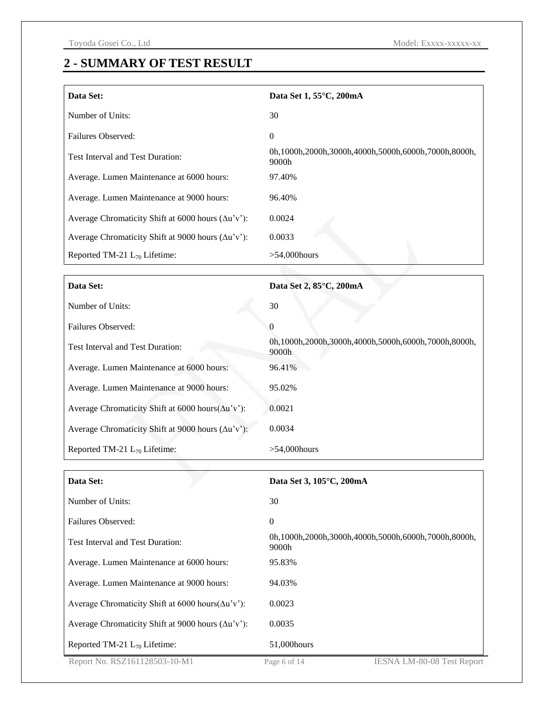## **2 - SUMMARY OF TEST RESULT**

| Data Set:                                                  | Data Set 1, 55 °C, 200mA                                     |  |  |  |  |  |
|------------------------------------------------------------|--------------------------------------------------------------|--|--|--|--|--|
| Number of Units:                                           | 30                                                           |  |  |  |  |  |
| Failures Observed:                                         | $\mathbf{0}$                                                 |  |  |  |  |  |
| Test Interval and Test Duration:                           | 0h,1000h,2000h,3000h,4000h,5000h,6000h,7000h,8000h,<br>9000h |  |  |  |  |  |
| Average. Lumen Maintenance at 6000 hours:                  | 97.40%                                                       |  |  |  |  |  |
| Average. Lumen Maintenance at 9000 hours:                  | 96.40%                                                       |  |  |  |  |  |
| Average Chromaticity Shift at 6000 hours $(\Delta u'v')$ : | 0.0024                                                       |  |  |  |  |  |
| Average Chromaticity Shift at 9000 hours $(\Delta u'v')$ : | 0.0033                                                       |  |  |  |  |  |
| Reported TM-21 $L_{70}$ Lifetime:                          | $>54,000$ hours                                              |  |  |  |  |  |

| Data Set:                                                  | Data Set 2, 85 °C, 200mA                                     |
|------------------------------------------------------------|--------------------------------------------------------------|
| Number of Units:                                           | 30                                                           |
| Failures Observed:                                         | $\Omega$                                                     |
| <b>Test Interval and Test Duration:</b>                    | 0h,1000h,2000h,3000h,4000h,5000h,6000h,7000h,8000h,<br>9000h |
| Average. Lumen Maintenance at 6000 hours:                  | 96.41%                                                       |
| Average. Lumen Maintenance at 9000 hours:                  | 95.02%                                                       |
| Average Chromaticity Shift at 6000 hours $(\Delta u'v')$ : | 0.0021                                                       |
| Average Chromaticity Shift at 9000 hours $(\Delta u'v')$ : | 0.0034                                                       |
| Reported TM-21 $L_{70}$ Lifetime:                          | $>54,000$ hours                                              |

| Data Set:                                                    | Data Set 3, 105 °C, 200mA                                    |
|--------------------------------------------------------------|--------------------------------------------------------------|
| Number of Units:                                             | 30                                                           |
| Failures Observed:                                           | $\mathbf{0}$                                                 |
| Test Interval and Test Duration:                             | 0h,1000h,2000h,3000h,4000h,5000h,6000h,7000h,8000h,<br>9000h |
| Average. Lumen Maintenance at 6000 hours:                    | 95.83%                                                       |
| Average. Lumen Maintenance at 9000 hours:                    | 94.03%                                                       |
| Average Chromaticity Shift at $6000$ hours( $\Delta u$ 'v'): | 0.0023                                                       |
| Average Chromaticity Shift at 9000 hours $(\Delta u'v')$ :   | 0.0035                                                       |
| Reported TM-21 $L_{70}$ Lifetime:                            | 51,000 hours                                                 |
| Report No. RSZ161128503-10-M1                                | <b>IESNA LM-80-08 Test Report</b><br>Page 6 of 14            |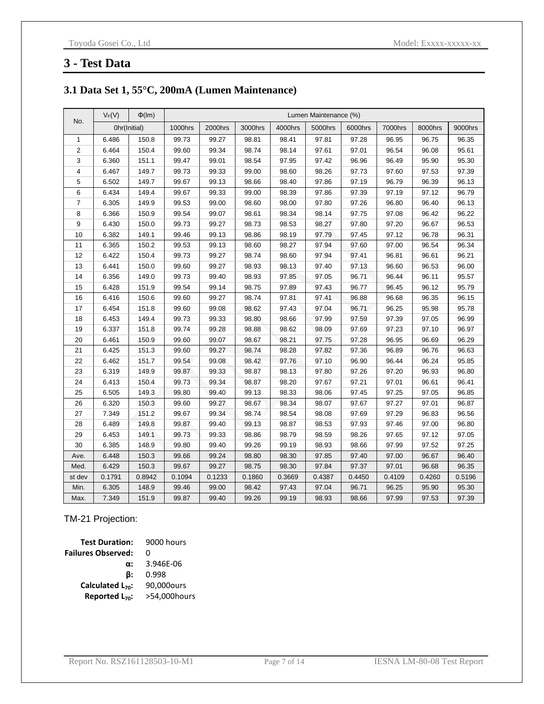#### **3 - Test Data**

#### **3.1 Data Set 1, 55°C, 200mA (Lumen Maintenance)**

|                | $V_F(V)$ | $\Phi$ (Im)  | Lumen Maintenance (%) |         |         |         |         |         |         |         |         |
|----------------|----------|--------------|-----------------------|---------|---------|---------|---------|---------|---------|---------|---------|
| No.            |          | Ohr(Initial) | 1000hrs               | 2000hrs | 3000hrs | 4000hrs | 5000hrs | 6000hrs | 7000hrs | 8000hrs | 9000hrs |
| $\mathbf{1}$   | 6.486    | 150.8        | 99.73                 | 99.27   | 98.81   | 98.41   | 97.81   | 97.28   | 96.95   | 96.75   | 96.35   |
| $\overline{2}$ | 6.464    | 150.4        | 99.60                 | 99.34   | 98.74   | 98.14   | 97.61   | 97.01   | 96.54   | 96.08   | 95.61   |
| 3              | 6.360    | 151.1        | 99.47                 | 99.01   | 98.54   | 97.95   | 97.42   | 96.96   | 96.49   | 95.90   | 95.30   |
| $\overline{4}$ | 6.467    | 149.7        | 99.73                 | 99.33   | 99.00   | 98.60   | 98.26   | 97.73   | 97.60   | 97.53   | 97.39   |
| 5              | 6.502    | 149.7        | 99.67                 | 99.13   | 98.66   | 98.40   | 97.86   | 97.19   | 96.79   | 96.39   | 96.13   |
| 6              | 6.434    | 149.4        | 99.67                 | 99.33   | 99.00   | 98.39   | 97.86   | 97.39   | 97.19   | 97.12   | 96.79   |
| $\overline{7}$ | 6.305    | 149.9        | 99.53                 | 99.00   | 98.60   | 98.00   | 97.80   | 97.26   | 96.80   | 96.40   | 96.13   |
| 8              | 6.366    | 150.9        | 99.54                 | 99.07   | 98.61   | 98.34   | 98.14   | 97.75   | 97.08   | 96.42   | 96.22   |
| 9              | 6.430    | 150.0        | 99.73                 | 99.27   | 98.73   | 98.53   | 98.27   | 97.80   | 97.20   | 96.67   | 96.53   |
| 10             | 6.382    | 149.1        | 99.46                 | 99.13   | 98.86   | 98.19   | 97.79   | 97.45   | 97.12   | 96.78   | 96.31   |
| 11             | 6.365    | 150.2        | 99.53                 | 99.13   | 98.60   | 98.27   | 97.94   | 97.60   | 97.00   | 96.54   | 96.34   |
| 12             | 6.422    | 150.4        | 99.73                 | 99.27   | 98.74   | 98.60   | 97.94   | 97.41   | 96.81   | 96.61   | 96.21   |
| 13             | 6.441    | 150.0        | 99.60                 | 99.27   | 98.93   | 98.13   | 97.40   | 97.13   | 96.60   | 96.53   | 96.00   |
| 14             | 6.356    | 149.0        | 99.73                 | 99.40   | 98.93   | 97.85   | 97.05   | 96.71   | 96.44   | 96.11   | 95.57   |
| 15             | 6.428    | 151.9        | 99.54                 | 99.14   | 98.75   | 97.89   | 97.43   | 96.77   | 96.45   | 96.12   | 95.79   |
| 16             | 6.416    | 150.6        | 99.60                 | 99.27   | 98.74   | 97.81   | 97.41   | 96.88   | 96.68   | 96.35   | 96.15   |
| 17             | 6.454    | 151.8        | 99.60                 | 99.08   | 98.62   | 97.43   | 97.04   | 96.71   | 96.25   | 95.98   | 95.78   |
| 18             | 6.453    | 149.4        | 99.73                 | 99.33   | 98.80   | 98.66   | 97.99   | 97.59   | 97.39   | 97.05   | 96.99   |
| 19             | 6.337    | 151.8        | 99.74                 | 99.28   | 98.88   | 98.62   | 98.09   | 97.69   | 97.23   | 97.10   | 96.97   |
| 20             | 6.461    | 150.9        | 99.60                 | 99.07   | 98.67   | 98.21   | 97.75   | 97.28   | 96.95   | 96.69   | 96.29   |
| 21             | 6.425    | 151.3        | 99.60                 | 99.27   | 98.74   | 98.28   | 97.82   | 97.36   | 96.89   | 96.76   | 96.63   |
| 22             | 6.462    | 151.7        | 99.54                 | 99.08   | 98.42   | 97.76   | 97.10   | 96.90   | 96.44   | 96.24   | 95.85   |
| 23             | 6.319    | 149.9        | 99.87                 | 99.33   | 98.87   | 98.13   | 97.80   | 97.26   | 97.20   | 96.93   | 96.80   |
| 24             | 6.413    | 150.4        | 99.73                 | 99.34   | 98.87   | 98.20   | 97.67   | 97.21   | 97.01   | 96.61   | 96.41   |
| 25             | 6.505    | 149.3        | 99.80                 | 99.40   | 99.13   | 98.33   | 98.06   | 97.45   | 97.25   | 97.05   | 96.85   |
| 26             | 6.320    | 150.3        | 99.60                 | 99.27   | 98.67   | 98.34   | 98.07   | 97.67   | 97.27   | 97.01   | 96.87   |
| 27             | 7.349    | 151.2        | 99.67                 | 99.34   | 98.74   | 98.54   | 98.08   | 97.69   | 97.29   | 96.83   | 96.56   |
| 28             | 6.489    | 149.8        | 99.87                 | 99.40   | 99.13   | 98.87   | 98.53   | 97.93   | 97.46   | 97.00   | 96.80   |
| 29             | 6.453    | 149.1        | 99.73                 | 99.33   | 98.86   | 98.79   | 98.59   | 98.26   | 97.65   | 97.12   | 97.05   |
| 30             | 6.385    | 148.9        | 99.80                 | 99.40   | 99.26   | 99.19   | 98.93   | 98.66   | 97.99   | 97.52   | 97.25   |
| Ave.           | 6.448    | 150.3        | 99.66                 | 99.24   | 98.80   | 98.30   | 97.85   | 97.40   | 97.00   | 96.67   | 96.40   |
| Med.           | 6.429    | 150.3        | 99.67                 | 99.27   | 98.75   | 98.30   | 97.84   | 97.37   | 97.01   | 96.68   | 96.35   |
| st dev         | 0.1791   | 0.8942       | 0.1094                | 0.1233  | 0.1860  | 0.3669  | 0.4387  | 0.4450  | 0.4109  | 0.4260  | 0.5196  |
| Min.           | 6.305    | 148.9        | 99.46                 | 99.00   | 98.42   | 97.43   | 97.04   | 96.71   | 96.25   | 95.90   | 95.30   |
| Max.           | 7.349    | 151.9        | 99.87                 | 99.40   | 99.26   | 99.19   | 98.93   | 98.66   | 97.99   | 97.53   | 97.39   |

#### TM-21 Projection:

**Test Duration:** 9000 hours **Failures Observed:** 0 **α:** 3.946E-06 **β:** 0.998 **Calculated L70:** 90,000ours **Reported L70:** >54,000hours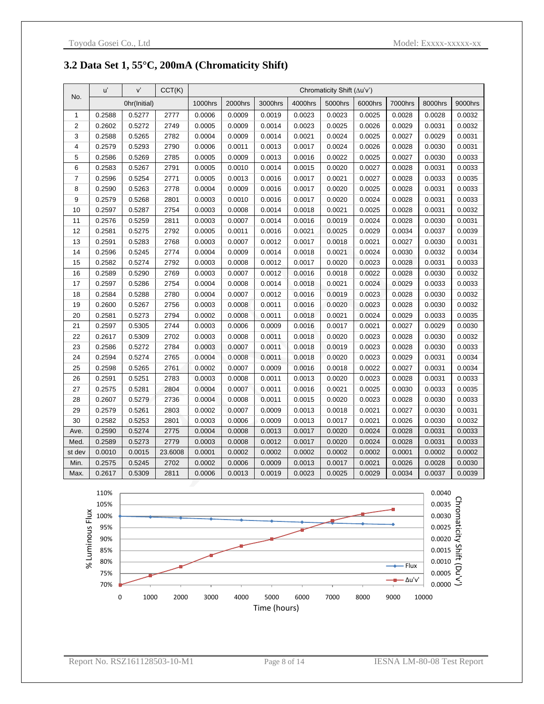#### **3.2 Data Set 1, 55°C, 200mA (Chromaticity Shift)**

|                | u'     | V'           | CCT(K)  | Chromaticity Shift (Au'v') |         |         |         |         |         |         |         |         |
|----------------|--------|--------------|---------|----------------------------|---------|---------|---------|---------|---------|---------|---------|---------|
| No.            |        | Ohr(Initial) |         | <b>1000hrs</b>             | 2000hrs | 3000hrs | 4000hrs | 5000hrs | 6000hrs | 7000hrs | 8000hrs | 9000hrs |
| 1              | 0.2588 | 0.5277       | 2777    | 0.0006                     | 0.0009  | 0.0019  | 0.0023  | 0.0023  | 0.0025  | 0.0028  | 0.0028  | 0.0032  |
| $\overline{2}$ | 0.2602 | 0.5272       | 2749    | 0.0005                     | 0.0009  | 0.0014  | 0.0023  | 0.0025  | 0.0026  | 0.0029  | 0.0031  | 0.0032  |
| 3              | 0.2588 | 0.5265       | 2782    | 0.0004                     | 0.0009  | 0.0014  | 0.0021  | 0.0024  | 0.0025  | 0.0027  | 0.0029  | 0.0031  |
| 4              | 0.2579 | 0.5293       | 2790    | 0.0006                     | 0.0011  | 0.0013  | 0.0017  | 0.0024  | 0.0026  | 0.0028  | 0.0030  | 0.0031  |
| 5              | 0.2586 | 0.5269       | 2785    | 0.0005                     | 0.0009  | 0.0013  | 0.0016  | 0.0022  | 0.0025  | 0.0027  | 0.0030  | 0.0033  |
| 6              | 0.2583 | 0.5267       | 2791    | 0.0005                     | 0.0010  | 0.0014  | 0.0015  | 0.0020  | 0.0027  | 0.0028  | 0.0031  | 0.0033  |
| 7              | 0.2596 | 0.5254       | 2771    | 0.0005                     | 0.0013  | 0.0016  | 0.0017  | 0.0021  | 0.0027  | 0.0028  | 0.0033  | 0.0035  |
| 8              | 0.2590 | 0.5263       | 2778    | 0.0004                     | 0.0009  | 0.0016  | 0.0017  | 0.0020  | 0.0025  | 0.0028  | 0.0031  | 0.0033  |
| 9              | 0.2579 | 0.5268       | 2801    | 0.0003                     | 0.0010  | 0.0016  | 0.0017  | 0.0020  | 0.0024  | 0.0028  | 0.0031  | 0.0033  |
| 10             | 0.2597 | 0.5287       | 2754    | 0.0003                     | 0.0008  | 0.0014  | 0.0018  | 0.0021  | 0.0025  | 0.0028  | 0.0031  | 0.0032  |
| 11             | 0.2576 | 0.5259       | 2811    | 0.0003                     | 0.0007  | 0.0014  | 0.0016  | 0.0019  | 0.0024  | 0.0028  | 0.0030  | 0.0031  |
| 12             | 0.2581 | 0.5275       | 2792    | 0.0005                     | 0.0011  | 0.0016  | 0.0021  | 0.0025  | 0.0029  | 0.0034  | 0.0037  | 0.0039  |
| 13             | 0.2591 | 0.5283       | 2768    | 0.0003                     | 0.0007  | 0.0012  | 0.0017  | 0.0018  | 0.0021  | 0.0027  | 0.0030  | 0.0031  |
| 14             | 0.2596 | 0.5245       | 2774    | 0.0004                     | 0.0009  | 0.0014  | 0.0018  | 0.0021  | 0.0024  | 0.0030  | 0.0032  | 0.0034  |
| 15             | 0.2582 | 0.5274       | 2792    | 0.0003                     | 0.0008  | 0.0012  | 0.0017  | 0.0020  | 0.0023  | 0.0028  | 0.0031  | 0.0033  |
| 16             | 0.2589 | 0.5290       | 2769    | 0.0003                     | 0.0007  | 0.0012  | 0.0016  | 0.0018  | 0.0022  | 0.0028  | 0.0030  | 0.0032  |
| 17             | 0.2597 | 0.5286       | 2754    | 0.0004                     | 0.0008  | 0.0014  | 0.0018  | 0.0021  | 0.0024  | 0.0029  | 0.0033  | 0.0033  |
| 18             | 0.2584 | 0.5288       | 2780    | 0.0004                     | 0.0007  | 0.0012  | 0.0016  | 0.0019  | 0.0023  | 0.0028  | 0.0030  | 0.0032  |
| 19             | 0.2600 | 0.5267       | 2756    | 0.0003                     | 0.0008  | 0.0011  | 0.0016  | 0.0020  | 0.0023  | 0.0028  | 0.0030  | 0.0032  |
| 20             | 0.2581 | 0.5273       | 2794    | 0.0002                     | 0.0008  | 0.0011  | 0.0018  | 0.0021  | 0.0024  | 0.0029  | 0.0033  | 0.0035  |
| 21             | 0.2597 | 0.5305       | 2744    | 0.0003                     | 0.0006  | 0.0009  | 0.0016  | 0.0017  | 0.0021  | 0.0027  | 0.0029  | 0.0030  |
| 22             | 0.2617 | 0.5309       | 2702    | 0.0003                     | 0.0008  | 0.0011  | 0.0018  | 0.0020  | 0.0023  | 0.0028  | 0.0030  | 0.0032  |
| 23             | 0.2586 | 0.5272       | 2784    | 0.0003                     | 0.0007  | 0.0011  | 0.0018  | 0.0019  | 0.0023  | 0.0028  | 0.0030  | 0.0033  |
| 24             | 0.2594 | 0.5274       | 2765    | 0.0004                     | 0.0008  | 0.0011  | 0.0018  | 0.0020  | 0.0023  | 0.0029  | 0.0031  | 0.0034  |
| 25             | 0.2598 | 0.5265       | 2761    | 0.0002                     | 0.0007  | 0.0009  | 0.0016  | 0.0018  | 0.0022  | 0.0027  | 0.0031  | 0.0034  |
| 26             | 0.2591 | 0.5251       | 2783    | 0.0003                     | 0.0008  | 0.0011  | 0.0013  | 0.0020  | 0.0023  | 0.0028  | 0.0031  | 0.0033  |
| 27             | 0.2575 | 0.5281       | 2804    | 0.0004                     | 0.0007  | 0.0011  | 0.0016  | 0.0021  | 0.0025  | 0.0030  | 0.0033  | 0.0035  |
| 28             | 0.2607 | 0.5279       | 2736    | 0.0004                     | 0.0008  | 0.0011  | 0.0015  | 0.0020  | 0.0023  | 0.0028  | 0.0030  | 0.0033  |
| 29             | 0.2579 | 0.5261       | 2803    | 0.0002                     | 0.0007  | 0.0009  | 0.0013  | 0.0018  | 0.0021  | 0.0027  | 0.0030  | 0.0031  |
| 30             | 0.2582 | 0.5253       | 2801    | 0.0003                     | 0.0006  | 0.0009  | 0.0013  | 0.0017  | 0.0021  | 0.0026  | 0.0030  | 0.0032  |
| Ave.           | 0.2590 | 0.5274       | 2775    | 0.0004                     | 0.0008  | 0.0013  | 0.0017  | 0.0020  | 0.0024  | 0.0028  | 0.0031  | 0.0033  |
| Med.           | 0.2589 | 0.5273       | 2779    | 0.0003                     | 0.0008  | 0.0012  | 0.0017  | 0.0020  | 0.0024  | 0.0028  | 0.0031  | 0.0033  |
| st dev         | 0.0010 | 0.0015       | 23.6008 | 0.0001                     | 0.0002  | 0.0002  | 0.0002  | 0.0002  | 0.0002  | 0.0001  | 0.0002  | 0.0002  |
| Min.           | 0.2575 | 0.5245       | 2702    | 0.0002                     | 0.0006  | 0.0009  | 0.0013  | 0.0017  | 0.0021  | 0.0026  | 0.0028  | 0.0030  |
| Max.           | 0.2617 | 0.5309       | 2811    | 0.0006                     | 0.0013  | 0.0019  | 0.0023  | 0.0025  | 0.0029  | 0.0034  | 0.0037  | 0.0039  |

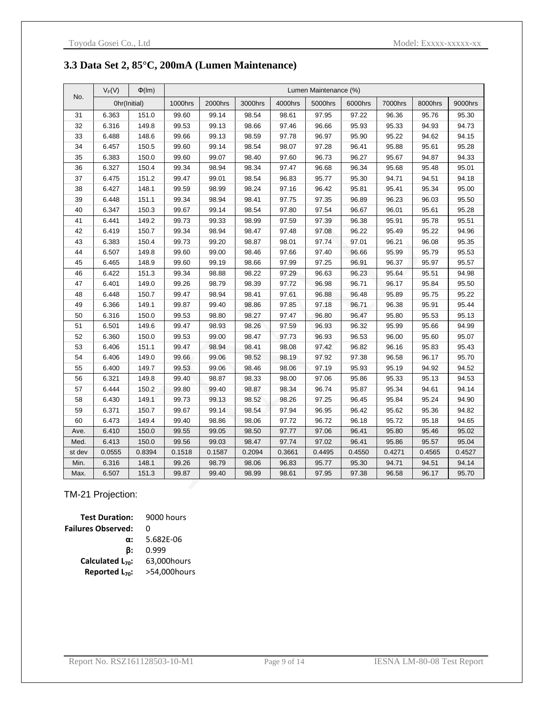#### **3.3 Data Set 2, 85°C, 200mA (Lumen Maintenance)**

|        | $V_F(V)$ | $\Phi$ (Im)  | Lumen Maintenance (%) |         |         |         |         |         |         |         |         |  |  |
|--------|----------|--------------|-----------------------|---------|---------|---------|---------|---------|---------|---------|---------|--|--|
| No.    |          | Ohr(Initial) | 1000hrs               | 2000hrs | 3000hrs | 4000hrs | 5000hrs | 6000hrs | 7000hrs | 8000hrs | 9000hrs |  |  |
| 31     | 6.363    | 151.0        | 99.60                 | 99.14   | 98.54   | 98.61   | 97.95   | 97.22   | 96.36   | 95.76   | 95.30   |  |  |
| 32     | 6.316    | 149.8        | 99.53                 | 99.13   | 98.66   | 97.46   | 96.66   | 95.93   | 95.33   | 94.93   | 94.73   |  |  |
| 33     | 6.488    | 148.6        | 99.66                 | 99.13   | 98.59   | 97.78   | 96.97   | 95.90   | 95.22   | 94.62   | 94.15   |  |  |
| 34     | 6.457    | 150.5        | 99.60                 | 99.14   | 98.54   | 98.07   | 97.28   | 96.41   | 95.88   | 95.61   | 95.28   |  |  |
| 35     | 6.383    | 150.0        | 99.60                 | 99.07   | 98.40   | 97.60   | 96.73   | 96.27   | 95.67   | 94.87   | 94.33   |  |  |
| 36     | 6.327    | 150.4        | 99.34                 | 98.94   | 98.34   | 97.47   | 96.68   | 96.34   | 95.68   | 95.48   | 95.01   |  |  |
| 37     | 6.475    | 151.2        | 99.47                 | 99.01   | 98.54   | 96.83   | 95.77   | 95.30   | 94.71   | 94.51   | 94.18   |  |  |
| 38     | 6.427    | 148.1        | 99.59                 | 98.99   | 98.24   | 97.16   | 96.42   | 95.81   | 95.41   | 95.34   | 95.00   |  |  |
| 39     | 6.448    | 151.1        | 99.34                 | 98.94   | 98.41   | 97.75   | 97.35   | 96.89   | 96.23   | 96.03   | 95.50   |  |  |
| 40     | 6.347    | 150.3        | 99.67                 | 99.14   | 98.54   | 97.80   | 97.54   | 96.67   | 96.01   | 95.61   | 95.28   |  |  |
| 41     | 6.441    | 149.2        | 99.73                 | 99.33   | 98.99   | 97.59   | 97.39   | 96.38   | 95.91   | 95.78   | 95.51   |  |  |
| 42     | 6.419    | 150.7        | 99.34                 | 98.94   | 98.47   | 97.48   | 97.08   | 96.22   | 95.49   | 95.22   | 94.96   |  |  |
| 43     | 6.383    | 150.4        | 99.73                 | 99.20   | 98.87   | 98.01   | 97.74   | 97.01   | 96.21   | 96.08   | 95.35   |  |  |
| 44     | 6.507    | 149.8        | 99.60                 | 99.00   | 98.46   | 97.66   | 97.40   | 96.66   | 95.99   | 95.79   | 95.53   |  |  |
| 45     | 6.465    | 148.9        | 99.60                 | 99.19   | 98.66   | 97.99   | 97.25   | 96.91   | 96.37   | 95.97   | 95.57   |  |  |
| 46     | 6.422    | 151.3        | 99.34                 | 98.88   | 98.22   | 97.29   | 96.63   | 96.23   | 95.64   | 95.51   | 94.98   |  |  |
| 47     | 6.401    | 149.0        | 99.26                 | 98.79   | 98.39   | 97.72   | 96.98   | 96.71   | 96.17   | 95.84   | 95.50   |  |  |
| 48     | 6.448    | 150.7        | 99.47                 | 98.94   | 98.41   | 97.61   | 96.88   | 96.48   | 95.89   | 95.75   | 95.22   |  |  |
| 49     | 6.366    | 149.1        | 99.87                 | 99.40   | 98.86   | 97.85   | 97.18   | 96.71   | 96.38   | 95.91   | 95.44   |  |  |
| 50     | 6.316    | 150.0        | 99.53                 | 98.80   | 98.27   | 97.47   | 96.80   | 96.47   | 95.80   | 95.53   | 95.13   |  |  |
| 51     | 6.501    | 149.6        | 99.47                 | 98.93   | 98.26   | 97.59   | 96.93   | 96.32   | 95.99   | 95.66   | 94.99   |  |  |
| 52     | 6.360    | 150.0        | 99.53                 | 99.00   | 98.47   | 97.73   | 96.93   | 96.53   | 96.00   | 95.60   | 95.07   |  |  |
| 53     | 6.406    | 151.1        | 99.47                 | 98.94   | 98.41   | 98.08   | 97.42   | 96.82   | 96.16   | 95.83   | 95.43   |  |  |
| 54     | 6.406    | 149.0        | 99.66                 | 99.06   | 98.52   | 98.19   | 97.92   | 97.38   | 96.58   | 96.17   | 95.70   |  |  |
| 55     | 6.400    | 149.7        | 99.53                 | 99.06   | 98.46   | 98.06   | 97.19   | 95.93   | 95.19   | 94.92   | 94.52   |  |  |
| 56     | 6.321    | 149.8        | 99.40                 | 98.87   | 98.33   | 98.00   | 97.06   | 95.86   | 95.33   | 95.13   | 94.53   |  |  |
| 57     | 6.444    | 150.2        | 99.80                 | 99.40   | 98.87   | 98.34   | 96.74   | 95.87   | 95.34   | 94.61   | 94.14   |  |  |
| 58     | 6.430    | 149.1        | 99.73                 | 99.13   | 98.52   | 98.26   | 97.25   | 96.45   | 95.84   | 95.24   | 94.90   |  |  |
| 59     | 6.371    | 150.7        | 99.67                 | 99.14   | 98.54   | 97.94   | 96.95   | 96.42   | 95.62   | 95.36   | 94.82   |  |  |
| 60     | 6.473    | 149.4        | 99.40                 | 98.86   | 98.06   | 97.72   | 96.72   | 96.18   | 95.72   | 95.18   | 94.65   |  |  |
| Ave.   | 6.410    | 150.0        | 99.55                 | 99.05   | 98.50   | 97.77   | 97.06   | 96.41   | 95.80   | 95.46   | 95.02   |  |  |
| Med.   | 6.413    | 150.0        | 99.56                 | 99.03   | 98.47   | 97.74   | 97.02   | 96.41   | 95.86   | 95.57   | 95.04   |  |  |
| st dev | 0.0555   | 0.8394       | 0.1518                | 0.1587  | 0.2094  | 0.3661  | 0.4495  | 0.4550  | 0.4271  | 0.4565  | 0.4527  |  |  |
| Min.   | 6.316    | 148.1        | 99.26                 | 98.79   | 98.06   | 96.83   | 95.77   | 95.30   | 94.71   | 94.51   | 94.14   |  |  |
| Max.   | 6.507    | 151.3        | 99.87                 | 99.40   | 98.99   | 98.61   | 97.95   | 97.38   | 96.58   | 96.17   | 95.70   |  |  |

#### TM-21 Projection:

| <b>Test Duration:</b>      | 9000 hours   |
|----------------------------|--------------|
| <b>Failures Observed:</b>  | n            |
| $\alpha$ :                 | 5.682E-06    |
| ß:                         | 0.999        |
| Calculated $L_{70}$ :      | 63,000hours  |
| Reported L <sub>70</sub> : | >54,000hours |
|                            |              |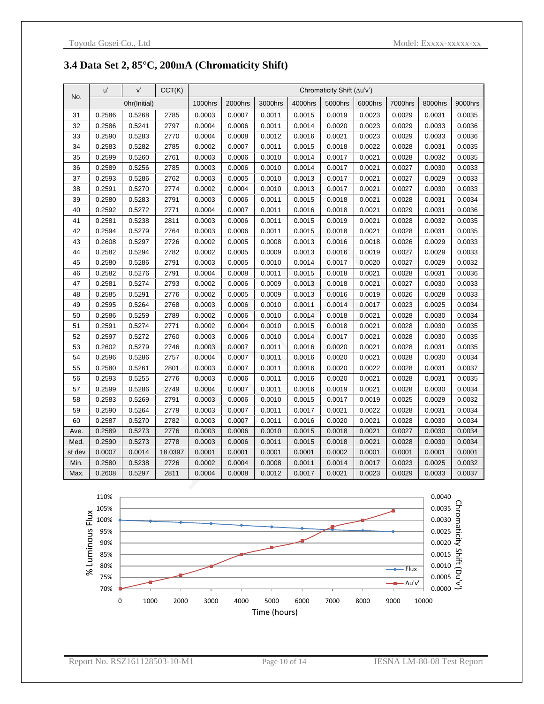#### **3.4 Data Set 2, 85°C, 200mA (Chromaticity Shift)**

|        | u'     | V'           | CCT(K)  | Chromaticity Shift (Au'v') |         |         |         |         |         |         |         |         |
|--------|--------|--------------|---------|----------------------------|---------|---------|---------|---------|---------|---------|---------|---------|
| No.    |        | Ohr(Initial) |         | 1000hrs                    | 2000hrs | 3000hrs | 4000hrs | 5000hrs | 6000hrs | 7000hrs | 8000hrs | 9000hrs |
| 31     | 0.2586 | 0.5268       | 2785    | 0.0003                     | 0.0007  | 0.0011  | 0.0015  | 0.0019  | 0.0023  | 0.0029  | 0.0031  | 0.0035  |
| 32     | 0.2586 | 0.5241       | 2797    | 0.0004                     | 0.0006  | 0.0011  | 0.0014  | 0.0020  | 0.0023  | 0.0029  | 0.0033  | 0.0036  |
| 33     | 0.2590 | 0.5283       | 2770    | 0.0004                     | 0.0008  | 0.0012  | 0.0016  | 0.0021  | 0.0023  | 0.0029  | 0.0033  | 0.0036  |
| 34     | 0.2583 | 0.5282       | 2785    | 0.0002                     | 0.0007  | 0.0011  | 0.0015  | 0.0018  | 0.0022  | 0.0028  | 0.0031  | 0.0035  |
| 35     | 0.2599 | 0.5260       | 2761    | 0.0003                     | 0.0006  | 0.0010  | 0.0014  | 0.0017  | 0.0021  | 0.0028  | 0.0032  | 0.0035  |
| 36     | 0.2589 | 0.5256       | 2785    | 0.0003                     | 0.0006  | 0.0010  | 0.0014  | 0.0017  | 0.0021  | 0.0027  | 0.0030  | 0.0033  |
| 37     | 0.2593 | 0.5286       | 2762    | 0.0003                     | 0.0005  | 0.0010  | 0.0013  | 0.0017  | 0.0021  | 0.0027  | 0.0029  | 0.0033  |
| 38     | 0.2591 | 0.5270       | 2774    | 0.0002                     | 0.0004  | 0.0010  | 0.0013  | 0.0017  | 0.0021  | 0.0027  | 0.0030  | 0.0033  |
| 39     | 0.2580 | 0.5283       | 2791    | 0.0003                     | 0.0006  | 0.0011  | 0.0015  | 0.0018  | 0.0021  | 0.0028  | 0.0031  | 0.0034  |
| 40     | 0.2592 | 0.5272       | 2771    | 0.0004                     | 0.0007  | 0.0011  | 0.0016  | 0.0018  | 0.0021  | 0.0029  | 0.0031  | 0.0036  |
| 41     | 0.2581 | 0.5238       | 2811    | 0.0003                     | 0.0006  | 0.0011  | 0.0015  | 0.0019  | 0.0021  | 0.0028  | 0.0032  | 0.0035  |
| 42     | 0.2594 | 0.5279       | 2764    | 0.0003                     | 0.0006  | 0.0011  | 0.0015  | 0.0018  | 0.0021  | 0.0028  | 0.0031  | 0.0035  |
| 43     | 0.2608 | 0.5297       | 2726    | 0.0002                     | 0.0005  | 0.0008  | 0.0013  | 0.0016  | 0.0018  | 0.0026  | 0.0029  | 0.0033  |
| 44     | 0.2582 | 0.5294       | 2782    | 0.0002                     | 0.0005  | 0.0009  | 0.0013  | 0.0016  | 0.0019  | 0.0027  | 0.0029  | 0.0033  |
| 45     | 0.2580 | 0.5286       | 2791    | 0.0003                     | 0.0005  | 0.0010  | 0.0014  | 0.0017  | 0.0020  | 0.0027  | 0.0029  | 0.0032  |
| 46     | 0.2582 | 0.5276       | 2791    | 0.0004                     | 0.0008  | 0.0011  | 0.0015  | 0.0018  | 0.0021  | 0.0028  | 0.0031  | 0.0036  |
| 47     | 0.2581 | 0.5274       | 2793    | 0.0002                     | 0.0006  | 0.0009  | 0.0013  | 0.0018  | 0.0021  | 0.0027  | 0.0030  | 0.0033  |
| 48     | 0.2585 | 0.5291       | 2776    | 0.0002                     | 0.0005  | 0.0009  | 0.0013  | 0.0016  | 0.0019  | 0.0026  | 0.0028  | 0.0033  |
| 49     | 0.2595 | 0.5264       | 2768    | 0.0003                     | 0.0006  | 0.0010  | 0.0011  | 0.0014  | 0.0017  | 0.0023  | 0.0025  | 0.0034  |
| 50     | 0.2586 | 0.5259       | 2789    | 0.0002                     | 0.0006  | 0.0010  | 0.0014  | 0.0018  | 0.0021  | 0.0028  | 0.0030  | 0.0034  |
| 51     | 0.2591 | 0.5274       | 2771    | 0.0002                     | 0.0004  | 0.0010  | 0.0015  | 0.0018  | 0.0021  | 0.0028  | 0.0030  | 0.0035  |
| 52     | 0.2597 | 0.5272       | 2760    | 0.0003                     | 0.0006  | 0.0010  | 0.0014  | 0.0017  | 0.0021  | 0.0028  | 0.0030  | 0.0035  |
| 53     | 0.2602 | 0.5279       | 2746    | 0.0003                     | 0.0007  | 0.0011  | 0.0016  | 0.0020  | 0.0021  | 0.0028  | 0.0031  | 0.0035  |
| 54     | 0.2596 | 0.5286       | 2757    | 0.0004                     | 0.0007  | 0.0011  | 0.0016  | 0.0020  | 0.0021  | 0.0028  | 0.0030  | 0.0034  |
| 55     | 0.2580 | 0.5261       | 2801    | 0.0003                     | 0.0007  | 0.0011  | 0.0016  | 0.0020  | 0.0022  | 0.0028  | 0.0031  | 0.0037  |
| 56     | 0.2593 | 0.5255       | 2776    | 0.0003                     | 0.0006  | 0.0011  | 0.0016  | 0.0020  | 0.0021  | 0.0028  | 0.0031  | 0.0035  |
| 57     | 0.2599 | 0.5286       | 2749    | 0.0004                     | 0.0007  | 0.0011  | 0.0016  | 0.0019  | 0.0021  | 0.0028  | 0.0030  | 0.0034  |
| 58     | 0.2583 | 0.5269       | 2791    | 0.0003                     | 0.0006  | 0.0010  | 0.0015  | 0.0017  | 0.0019  | 0.0025  | 0.0029  | 0.0032  |
| 59     | 0.2590 | 0.5264       | 2779    | 0.0003                     | 0.0007  | 0.0011  | 0.0017  | 0.0021  | 0.0022  | 0.0028  | 0.0031  | 0.0034  |
| 60     | 0.2587 | 0.5270       | 2782    | 0.0003                     | 0.0007  | 0.0011  | 0.0016  | 0.0020  | 0.0021  | 0.0028  | 0.0030  | 0.0034  |
| Ave.   | 0.2589 | 0.5273       | 2776    | 0.0003                     | 0.0006  | 0.0010  | 0.0015  | 0.0018  | 0.0021  | 0.0027  | 0.0030  | 0.0034  |
| Med.   | 0.2590 | 0.5273       | 2778    | 0.0003                     | 0.0006  | 0.0011  | 0.0015  | 0.0018  | 0.0021  | 0.0028  | 0.0030  | 0.0034  |
| st dev | 0.0007 | 0.0014       | 18.0397 | 0.0001                     | 0.0001  | 0.0001  | 0.0001  | 0.0002  | 0.0001  | 0.0001  | 0.0001  | 0.0001  |
| Min.   | 0.2580 | 0.5238       | 2726    | 0.0002                     | 0.0004  | 0.0008  | 0.0011  | 0.0014  | 0.0017  | 0.0023  | 0.0025  | 0.0032  |
| Max.   | 0.2608 | 0.5297       | 2811    | 0.0004                     | 0.0008  | 0.0012  | 0.0017  | 0.0021  | 0.0023  | 0.0029  | 0.0033  | 0.0037  |

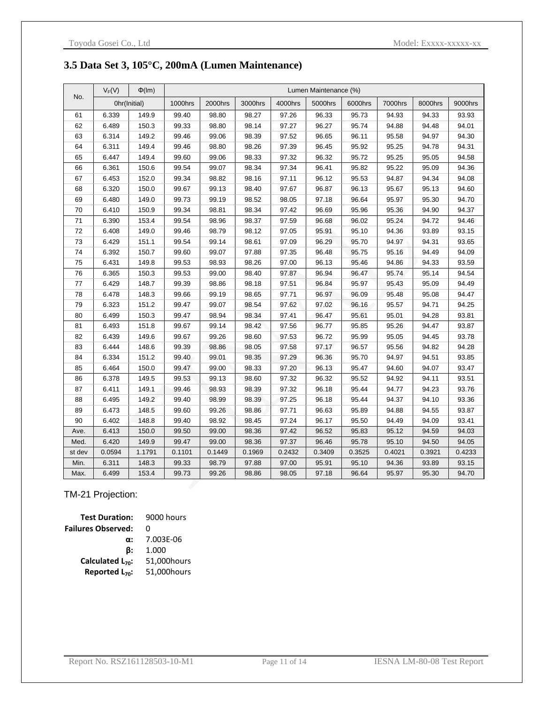#### **3.5 Data Set 3, 105°C, 200mA (Lumen Maintenance)**

|        | $V_F(V)$ | $\Phi$ (Im)  | Lumen Maintenance (%) |         |         |         |         |         |         |         |         |
|--------|----------|--------------|-----------------------|---------|---------|---------|---------|---------|---------|---------|---------|
| No.    |          | Ohr(Initial) | 1000hrs               | 2000hrs | 3000hrs | 4000hrs | 5000hrs | 6000hrs | 7000hrs | 8000hrs | 9000hrs |
| 61     | 6.339    | 149.9        | 99.40                 | 98.80   | 98.27   | 97.26   | 96.33   | 95.73   | 94.93   | 94.33   | 93.93   |
| 62     | 6.489    | 150.3        | 99.33                 | 98.80   | 98.14   | 97.27   | 96.27   | 95.74   | 94.88   | 94.48   | 94.01   |
| 63     | 6.314    | 149.2        | 99.46                 | 99.06   | 98.39   | 97.52   | 96.65   | 96.11   | 95.58   | 94.97   | 94.30   |
| 64     | 6.311    | 149.4        | 99.46                 | 98.80   | 98.26   | 97.39   | 96.45   | 95.92   | 95.25   | 94.78   | 94.31   |
| 65     | 6.447    | 149.4        | 99.60                 | 99.06   | 98.33   | 97.32   | 96.32   | 95.72   | 95.25   | 95.05   | 94.58   |
| 66     | 6.361    | 150.6        | 99.54                 | 99.07   | 98.34   | 97.34   | 96.41   | 95.82   | 95.22   | 95.09   | 94.36   |
| 67     | 6.453    | 152.0        | 99.34                 | 98.82   | 98.16   | 97.11   | 96.12   | 95.53   | 94.87   | 94.34   | 94.08   |
| 68     | 6.320    | 150.0        | 99.67                 | 99.13   | 98.40   | 97.67   | 96.87   | 96.13   | 95.67   | 95.13   | 94.60   |
| 69     | 6.480    | 149.0        | 99.73                 | 99.19   | 98.52   | 98.05   | 97.18   | 96.64   | 95.97   | 95.30   | 94.70   |
| 70     | 6.410    | 150.9        | 99.34                 | 98.81   | 98.34   | 97.42   | 96.69   | 95.96   | 95.36   | 94.90   | 94.37   |
| 71     | 6.390    | 153.4        | 99.54                 | 98.96   | 98.37   | 97.59   | 96.68   | 96.02   | 95.24   | 94.72   | 94.46   |
| 72     | 6.408    | 149.0        | 99.46                 | 98.79   | 98.12   | 97.05   | 95.91   | 95.10   | 94.36   | 93.89   | 93.15   |
| 73     | 6.429    | 151.1        | 99.54                 | 99.14   | 98.61   | 97.09   | 96.29   | 95.70   | 94.97   | 94.31   | 93.65   |
| 74     | 6.392    | 150.7        | 99.60                 | 99.07   | 97.88   | 97.35   | 96.48   | 95.75   | 95.16   | 94.49   | 94.09   |
| 75     | 6.431    | 149.8        | 99.53                 | 98.93   | 98.26   | 97.00   | 96.13   | 95.46   | 94.86   | 94.33   | 93.59   |
| 76     | 6.365    | 150.3        | 99.53                 | 99.00   | 98.40   | 97.87   | 96.94   | 96.47   | 95.74   | 95.14   | 94.54   |
| 77     | 6.429    | 148.7        | 99.39                 | 98.86   | 98.18   | 97.51   | 96.84   | 95.97   | 95.43   | 95.09   | 94.49   |
| 78     | 6.478    | 148.3        | 99.66                 | 99.19   | 98.65   | 97.71   | 96.97   | 96.09   | 95.48   | 95.08   | 94.47   |
| 79     | 6.323    | 151.2        | 99.47                 | 99.07   | 98.54   | 97.62   | 97.02   | 96.16   | 95.57   | 94.71   | 94.25   |
| 80     | 6.499    | 150.3        | 99.47                 | 98.94   | 98.34   | 97.41   | 96.47   | 95.61   | 95.01   | 94.28   | 93.81   |
| 81     | 6.493    | 151.8        | 99.67                 | 99.14   | 98.42   | 97.56   | 96.77   | 95.85   | 95.26   | 94.47   | 93.87   |
| 82     | 6.439    | 149.6        | 99.67                 | 99.26   | 98.60   | 97.53   | 96.72   | 95.99   | 95.05   | 94.45   | 93.78   |
| 83     | 6.444    | 148.6        | 99.39                 | 98.86   | 98.05   | 97.58   | 97.17   | 96.57   | 95.56   | 94.82   | 94.28   |
| 84     | 6.334    | 151.2        | 99.40                 | 99.01   | 98.35   | 97.29   | 96.36   | 95.70   | 94.97   | 94.51   | 93.85   |
| 85     | 6.464    | 150.0        | 99.47                 | 99.00   | 98.33   | 97.20   | 96.13   | 95.47   | 94.60   | 94.07   | 93.47   |
| 86     | 6.378    | 149.5        | 99.53                 | 99.13   | 98.60   | 97.32   | 96.32   | 95.52   | 94.92   | 94.11   | 93.51   |
| 87     | 6.411    | 149.1        | 99.46                 | 98.93   | 98.39   | 97.32   | 96.18   | 95.44   | 94.77   | 94.23   | 93.76   |
| 88     | 6.495    | 149.2        | 99.40                 | 98.99   | 98.39   | 97.25   | 96.18   | 95.44   | 94.37   | 94.10   | 93.36   |
| 89     | 6.473    | 148.5        | 99.60                 | 99.26   | 98.86   | 97.71   | 96.63   | 95.89   | 94.88   | 94.55   | 93.87   |
| 90     | 6.402    | 148.8        | 99.40                 | 98.92   | 98.45   | 97.24   | 96.17   | 95.50   | 94.49   | 94.09   | 93.41   |
| Ave.   | 6.413    | 150.0        | 99.50                 | 99.00   | 98.36   | 97.42   | 96.52   | 95.83   | 95.12   | 94.59   | 94.03   |
| Med.   | 6.420    | 149.9        | 99.47                 | 99.00   | 98.36   | 97.37   | 96.46   | 95.78   | 95.10   | 94.50   | 94.05   |
| st dev | 0.0594   | 1.1791       | 0.1101                | 0.1449  | 0.1969  | 0.2432  | 0.3409  | 0.3525  | 0.4021  | 0.3921  | 0.4233  |
| Min.   | 6.311    | 148.3        | 99.33                 | 98.79   | 97.88   | 97.00   | 95.91   | 95.10   | 94.36   | 93.89   | 93.15   |
| Max.   | 6.499    | 153.4        | 99.73                 | 99.26   | 98.86   | 98.05   | 97.18   | 96.64   | 95.97   | 95.30   | 94.70   |

#### TM-21 Projection:

| <b>Test Duration:</b>      | 9000 hours  |
|----------------------------|-------------|
| <b>Failures Observed:</b>  | O           |
| $\alpha$ :                 | 7.003E-06   |
| ß:                         | 1.000       |
| Calculated $L_{70}$ :      | 51,000hours |
| Reported L <sub>70</sub> : | 51,000hours |
|                            |             |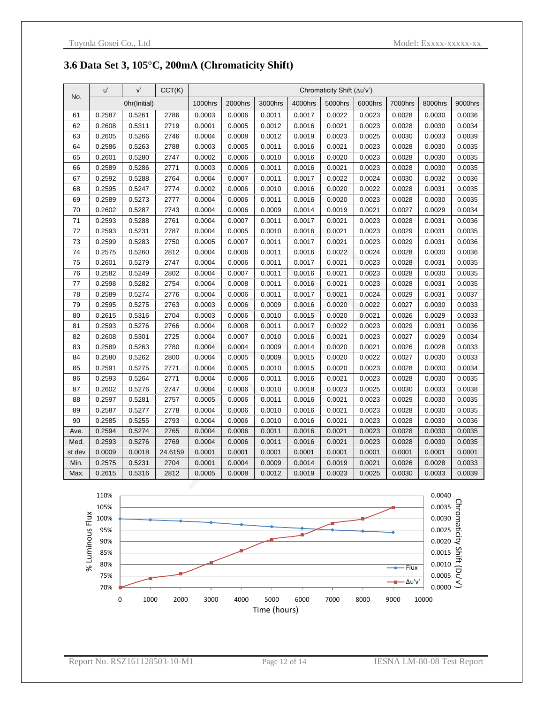#### **3.6 Data Set 3, 105°C, 200mA (Chromaticity Shift)**

|        | u'     | V'           | CCT(K)  | Chromaticity Shift $(\Delta u'v')$ |         |         |         |         |         |         |         |         |
|--------|--------|--------------|---------|------------------------------------|---------|---------|---------|---------|---------|---------|---------|---------|
| No.    |        | Ohr(Initial) |         | 1000hrs                            | 2000hrs | 3000hrs | 4000hrs | 5000hrs | 6000hrs | 7000hrs | 8000hrs | 9000hrs |
| 61     | 0.2587 | 0.5261       | 2786    | 0.0003                             | 0.0006  | 0.0011  | 0.0017  | 0.0022  | 0.0023  | 0.0028  | 0.0030  | 0.0036  |
| 62     | 0.2608 | 0.5311       | 2719    | 0.0001                             | 0.0005  | 0.0012  | 0.0016  | 0.0021  | 0.0023  | 0.0028  | 0.0030  | 0.0034  |
| 63     | 0.2605 | 0.5266       | 2746    | 0.0004                             | 0.0008  | 0.0012  | 0.0019  | 0.0023  | 0.0025  | 0.0030  | 0.0033  | 0.0039  |
| 64     | 0.2586 | 0.5263       | 2788    | 0.0003                             | 0.0005  | 0.0011  | 0.0016  | 0.0021  | 0.0023  | 0.0028  | 0.0030  | 0.0035  |
| 65     | 0.2601 | 0.5280       | 2747    | 0.0002                             | 0.0006  | 0.0010  | 0.0016  | 0.0020  | 0.0023  | 0.0028  | 0.0030  | 0.0035  |
| 66     | 0.2589 | 0.5286       | 2771    | 0.0003                             | 0.0006  | 0.0011  | 0.0016  | 0.0021  | 0.0023  | 0.0028  | 0.0030  | 0.0035  |
| 67     | 0.2592 | 0.5288       | 2764    | 0.0004                             | 0.0007  | 0.0011  | 0.0017  | 0.0022  | 0.0024  | 0.0030  | 0.0032  | 0.0036  |
| 68     | 0.2595 | 0.5247       | 2774    | 0.0002                             | 0.0006  | 0.0010  | 0.0016  | 0.0020  | 0.0022  | 0.0028  | 0.0031  | 0.0035  |
| 69     | 0.2589 | 0.5273       | 2777    | 0.0004                             | 0.0006  | 0.0011  | 0.0016  | 0.0020  | 0.0023  | 0.0028  | 0.0030  | 0.0035  |
| 70     | 0.2602 | 0.5287       | 2743    | 0.0004                             | 0.0006  | 0.0009  | 0.0014  | 0.0019  | 0.0021  | 0.0027  | 0.0029  | 0.0034  |
| 71     | 0.2593 | 0.5288       | 2761    | 0.0004                             | 0.0007  | 0.0011  | 0.0017  | 0.0021  | 0.0023  | 0.0028  | 0.0031  | 0.0036  |
| 72     | 0.2593 | 0.5231       | 2787    | 0.0004                             | 0.0005  | 0.0010  | 0.0016  | 0.0021  | 0.0023  | 0.0029  | 0.0031  | 0.0035  |
| 73     | 0.2599 | 0.5283       | 2750    | 0.0005                             | 0.0007  | 0.0011  | 0.0017  | 0.0021  | 0.0023  | 0.0029  | 0.0031  | 0.0036  |
| 74     | 0.2575 | 0.5260       | 2812    | 0.0004                             | 0.0006  | 0.0011  | 0.0016  | 0.0022  | 0.0024  | 0.0028  | 0.0030  | 0.0036  |
| 75     | 0.2601 | 0.5279       | 2747    | 0.0004                             | 0.0006  | 0.0011  | 0.0017  | 0.0021  | 0.0023  | 0.0028  | 0.0031  | 0.0035  |
| 76     | 0.2582 | 0.5249       | 2802    | 0.0004                             | 0.0007  | 0.0011  | 0.0016  | 0.0021  | 0.0023  | 0.0028  | 0.0030  | 0.0035  |
| 77     | 0.2598 | 0.5282       | 2754    | 0.0004                             | 0.0008  | 0.0011  | 0.0016  | 0.0021  | 0.0023  | 0.0028  | 0.0031  | 0.0035  |
| 78     | 0.2589 | 0.5274       | 2776    | 0.0004                             | 0.0006  | 0.0011  | 0.0017  | 0.0021  | 0.0024  | 0.0029  | 0.0031  | 0.0037  |
| 79     | 0.2595 | 0.5275       | 2763    | 0.0003                             | 0.0006  | 0.0009  | 0.0016  | 0.0020  | 0.0022  | 0.0027  | 0.0030  | 0.0033  |
| 80     | 0.2615 | 0.5316       | 2704    | 0.0003                             | 0.0006  | 0.0010  | 0.0015  | 0.0020  | 0.0021  | 0.0026  | 0.0029  | 0.0033  |
| 81     | 0.2593 | 0.5276       | 2766    | 0.0004                             | 0.0008  | 0.0011  | 0.0017  | 0.0022  | 0.0023  | 0.0029  | 0.0031  | 0.0036  |
| 82     | 0.2608 | 0.5301       | 2725    | 0.0004                             | 0.0007  | 0.0010  | 0.0016  | 0.0021  | 0.0023  | 0.0027  | 0.0029  | 0.0034  |
| 83     | 0.2589 | 0.5263       | 2780    | 0.0004                             | 0.0004  | 0.0009  | 0.0014  | 0.0020  | 0.0021  | 0.0026  | 0.0028  | 0.0033  |
| 84     | 0.2580 | 0.5262       | 2800    | 0.0004                             | 0.0005  | 0.0009  | 0.0015  | 0.0020  | 0.0022  | 0.0027  | 0.0030  | 0.0033  |
| 85     | 0.2591 | 0.5275       | 2771    | 0.0004                             | 0.0005  | 0.0010  | 0.0015  | 0.0020  | 0.0023  | 0.0028  | 0.0030  | 0.0034  |
| 86     | 0.2593 | 0.5264       | 2771    | 0.0004                             | 0.0006  | 0.0011  | 0.0016  | 0.0021  | 0.0023  | 0.0028  | 0.0030  | 0.0035  |
| 87     | 0.2602 | 0.5276       | 2747    | 0.0004                             | 0.0006  | 0.0010  | 0.0018  | 0.0023  | 0.0025  | 0.0030  | 0.0033  | 0.0038  |
| 88     | 0.2597 | 0.5281       | 2757    | 0.0005                             | 0.0006  | 0.0011  | 0.0016  | 0.0021  | 0.0023  | 0.0029  | 0.0030  | 0.0035  |
| 89     | 0.2587 | 0.5277       | 2778    | 0.0004                             | 0.0006  | 0.0010  | 0.0016  | 0.0021  | 0.0023  | 0.0028  | 0.0030  | 0.0035  |
| 90     | 0.2585 | 0.5255       | 2793    | 0.0004                             | 0.0006  | 0.0010  | 0.0016  | 0.0021  | 0.0023  | 0.0028  | 0.0030  | 0.0036  |
| Ave.   | 0.2594 | 0.5274       | 2765    | 0.0004                             | 0.0006  | 0.0011  | 0.0016  | 0.0021  | 0.0023  | 0.0028  | 0.0030  | 0.0035  |
| Med.   | 0.2593 | 0.5276       | 2769    | 0.0004                             | 0.0006  | 0.0011  | 0.0016  | 0.0021  | 0.0023  | 0.0028  | 0.0030  | 0.0035  |
| st dev | 0.0009 | 0.0018       | 24.6159 | 0.0001                             | 0.0001  | 0.0001  | 0.0001  | 0.0001  | 0.0001  | 0.0001  | 0.0001  | 0.0001  |
| Min.   | 0.2575 | 0.5231       | 2704    | 0.0001                             | 0.0004  | 0.0009  | 0.0014  | 0.0019  | 0.0021  | 0.0026  | 0.0028  | 0.0033  |
| Max.   | 0.2615 | 0.5316       | 2812    | 0.0005                             | 0.0008  | 0.0012  | 0.0019  | 0.0023  | 0.0025  | 0.0030  | 0.0033  | 0.0039  |

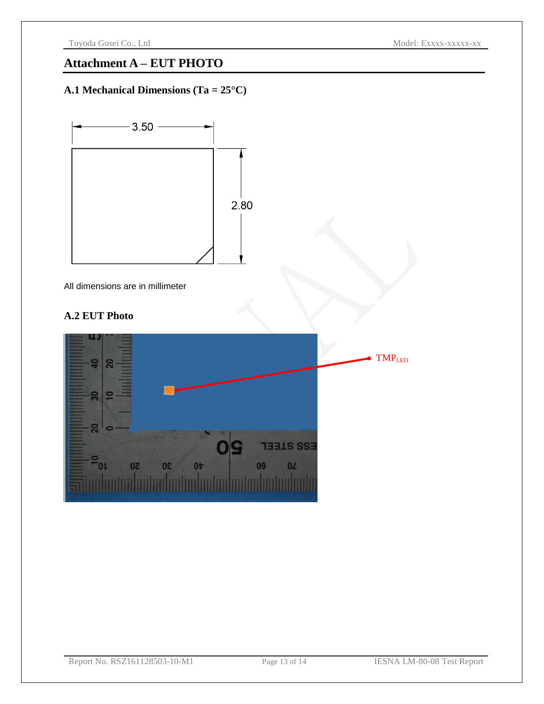### **Attachment A – EUT PHOTO**

### **A.1 Mechanical Dimensions (Ta = 25°C)**



All dimensions are in millimeter

#### **A.2 EUT Photo**